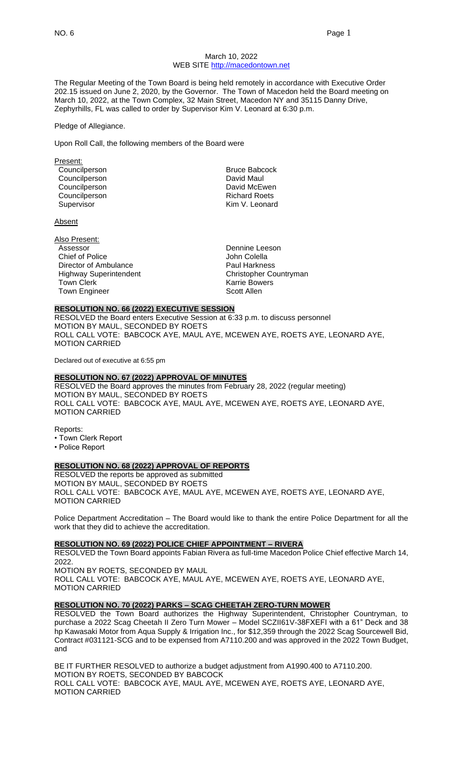### March 10, 2022 WEB SITE [http://macedontown.net](http://macedontown.net/)

The Regular Meeting of the Town Board is being held remotely in accordance with Executive Order 202.15 issued on June 2, 2020, by the Governor. The Town of Macedon held the Board meeting on March 10, 2022, at the Town Complex, 32 Main Street, Macedon NY and 35115 Danny Drive, Zephyrhills, FL was called to order by Supervisor Kim V. Leonard at 6:30 p.m.

#### Pledge of Allegiance.

Upon Roll Call, the following members of the Board were

| Present:      |                      |
|---------------|----------------------|
| Councilperson | <b>Bruce Babcock</b> |
| Councilperson | David Maul           |
| Councilperson | David McEwen         |
| Councilperson | <b>Richard Roets</b> |
| Supervisor    | Kim V. Leonard       |
|               |                      |

Absent

| Also Present:                 |                        |
|-------------------------------|------------------------|
| Assessor                      | Dennine Leeson         |
| Chief of Police               | John Colella           |
| Director of Ambulance         | <b>Paul Harkness</b>   |
| <b>Highway Superintendent</b> | Christopher Countryman |
| <b>Town Clerk</b>             | <b>Karrie Bowers</b>   |
| <b>Town Engineer</b>          | Scott Allen            |
|                               |                        |

### **RESOLUTION NO. 66 (2022) EXECUTIVE SESSION**

RESOLVED the Board enters Executive Session at 6:33 p.m. to discuss personnel MOTION BY MAUL, SECONDED BY ROETS ROLL CALL VOTE: BABCOCK AYE, MAUL AYE, MCEWEN AYE, ROETS AYE, LEONARD AYE, MOTION CARRIED

Declared out of executive at 6:55 pm

## **RESOLUTION NO. 67 (2022) APPROVAL OF MINUTES**

RESOLVED the Board approves the minutes from February 28, 2022 (regular meeting) MOTION BY MAUL, SECONDED BY ROETS ROLL CALL VOTE: BABCOCK AYE, MAUL AYE, MCEWEN AYE, ROETS AYE, LEONARD AYE, MOTION CARRIED

Reports:

- Town Clerk Report
- Police Report

#### **RESOLUTION NO. 68 (2022) APPROVAL OF REPORTS**

RESOLVED the reports be approved as submitted MOTION BY MAUL, SECONDED BY ROETS ROLL CALL VOTE: BABCOCK AYE, MAUL AYE, MCEWEN AYE, ROETS AYE, LEONARD AYE, MOTION CARRIED

Police Department Accreditation – The Board would like to thank the entire Police Department for all the work that they did to achieve the accreditation.

### **RESOLUTION NO. 69 (2022) POLICE CHIEF APPOINTMENT – RIVERA**

RESOLVED the Town Board appoints Fabian Rivera as full-time Macedon Police Chief effective March 14, 2022.

MOTION BY ROETS, SECONDED BY MAUL ROLL CALL VOTE: BABCOCK AYE, MAUL AYE, MCEWEN AYE, ROETS AYE, LEONARD AYE, MOTION CARRIED

# **RESOLUTION NO. 70 (2022) PARKS – SCAG CHEETAH ZERO-TURN MOWER**

RESOLVED the Town Board authorizes the Highway Superintendent, Christopher Countryman, to purchase a 2022 Scag Cheetah II Zero Turn Mower – Model SCZII61V-38FXEFI with a 61" Deck and 38 hp Kawasaki Motor from Aqua Supply & Irrigation Inc., for \$12,359 through the 2022 Scag Sourcewell Bid, Contract #031121-SCG and to be expensed from A7110.200 and was approved in the 2022 Town Budget, and

BE IT FURTHER RESOLVED to authorize a budget adjustment from A1990.400 to A7110.200. MOTION BY ROETS, SECONDED BY BABCOCK ROLL CALL VOTE: BABCOCK AYE, MAUL AYE, MCEWEN AYE, ROETS AYE, LEONARD AYE, MOTION CARRIED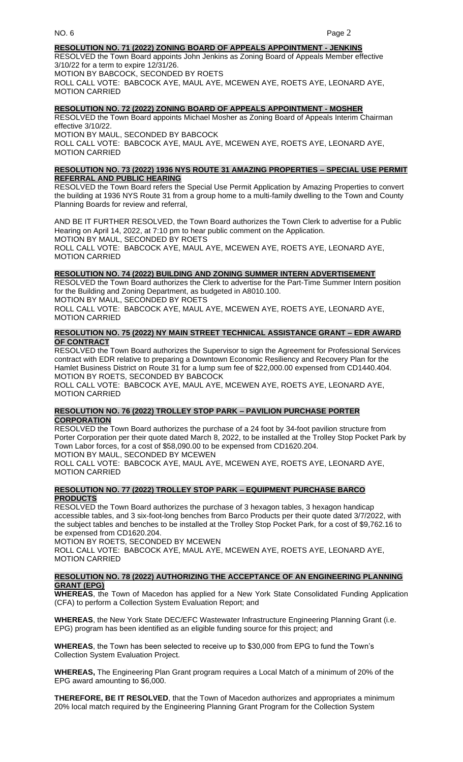### **RESOLUTION NO. 71 (2022) ZONING BOARD OF APPEALS APPOINTMENT - JENKINS**

RESOLVED the Town Board appoints John Jenkins as Zoning Board of Appeals Member effective 3/10/22 for a term to expire 12/31/26. MOTION BY BABCOCK, SECONDED BY ROETS ROLL CALL VOTE: BABCOCK AYE, MAUL AYE, MCEWEN AYE, ROETS AYE, LEONARD AYE, MOTION CARRIED

# **RESOLUTION NO. 72 (2022) ZONING BOARD OF APPEALS APPOINTMENT - MOSHER**

RESOLVED the Town Board appoints Michael Mosher as Zoning Board of Appeals Interim Chairman effective 3/10/22.

MOTION BY MAUL, SECONDED BY BABCOCK ROLL CALL VOTE: BABCOCK AYE, MAUL AYE, MCEWEN AYE, ROETS AYE, LEONARD AYE, MOTION CARRIED

#### **RESOLUTION NO. 73 (2022) 1936 NYS ROUTE 31 AMAZING PROPERTIES – SPECIAL USE PERMIT REFERRAL AND PUBLIC HEARING**

RESOLVED the Town Board refers the Special Use Permit Application by Amazing Properties to convert the building at 1936 NYS Route 31 from a group home to a multi-family dwelling to the Town and County Planning Boards for review and referral,

AND BE IT FURTHER RESOLVED, the Town Board authorizes the Town Clerk to advertise for a Public Hearing on April 14, 2022, at 7:10 pm to hear public comment on the Application. MOTION BY MAUL, SECONDED BY ROETS ROLL CALL VOTE: BABCOCK AYE, MAUL AYE, MCEWEN AYE, ROETS AYE, LEONARD AYE, MOTION CARRIED

# **RESOLUTION NO. 74 (2022) BUILDING AND ZONING SUMMER INTERN ADVERTISEMENT**

RESOLVED the Town Board authorizes the Clerk to advertise for the Part-Time Summer Intern position for the Building and Zoning Department, as budgeted in A8010.100.

MOTION BY MAUL, SECONDED BY ROETS

ROLL CALL VOTE: BABCOCK AYE, MAUL AYE, MCEWEN AYE, ROETS AYE, LEONARD AYE, MOTION CARRIED

#### **RESOLUTION NO. 75 (2022) NY MAIN STREET TECHNICAL ASSISTANCE GRANT – EDR AWARD OF CONTRACT**

RESOLVED the Town Board authorizes the Supervisor to sign the Agreement for Professional Services contract with EDR relative to preparing a Downtown Economic Resiliency and Recovery Plan for the Hamlet Business District on Route 31 for a lump sum fee of \$22,000.00 expensed from CD1440.404. MOTION BY ROETS, SECONDED BY BABCOCK

ROLL CALL VOTE: BABCOCK AYE, MAUL AYE, MCEWEN AYE, ROETS AYE, LEONARD AYE, MOTION CARRIED

#### **RESOLUTION NO. 76 (2022) TROLLEY STOP PARK – PAVILION PURCHASE PORTER CORPORATION**

RESOLVED the Town Board authorizes the purchase of a 24 foot by 34-foot pavilion structure from Porter Corporation per their quote dated March 8, 2022, to be installed at the Trolley Stop Pocket Park by Town Labor forces, for a cost of \$58,090.00 to be expensed from CD1620.204. MOTION BY MAUL, SECONDED BY MCEWEN

ROLL CALL VOTE: BABCOCK AYE, MAUL AYE, MCEWEN AYE, ROETS AYE, LEONARD AYE, MOTION CARRIED

# **RESOLUTION NO. 77 (2022) TROLLEY STOP PARK – EQUIPMENT PURCHASE BARCO PRODUCTS**

RESOLVED the Town Board authorizes the purchase of 3 hexagon tables, 3 hexagon handicap accessible tables, and 3 six-foot-long benches from Barco Products per their quote dated 3/7/2022, with the subject tables and benches to be installed at the Trolley Stop Pocket Park, for a cost of \$9,762.16 to be expensed from CD1620.204.

MOTION BY ROETS, SECONDED BY MCEWEN

ROLL CALL VOTE: BABCOCK AYE, MAUL AYE, MCEWEN AYE, ROETS AYE, LEONARD AYE, MOTION CARRIED

### **RESOLUTION NO. 78 (2022) AUTHORIZING THE ACCEPTANCE OF AN ENGINEERING PLANNING GRANT (EPG)**

**WHEREAS**, the Town of Macedon has applied for a New York State Consolidated Funding Application (CFA) to perform a Collection System Evaluation Report; and

**WHEREAS**, the New York State DEC/EFC Wastewater Infrastructure Engineering Planning Grant (i.e. EPG) program has been identified as an eligible funding source for this project; and

**WHEREAS**, the Town has been selected to receive up to \$30,000 from EPG to fund the Town's Collection System Evaluation Project.

**WHEREAS,** The Engineering Plan Grant program requires a Local Match of a minimum of 20% of the EPG award amounting to \$6,000.

**THEREFORE, BE IT RESOLVED**, that the Town of Macedon authorizes and appropriates a minimum 20% local match required by the Engineering Planning Grant Program for the Collection System